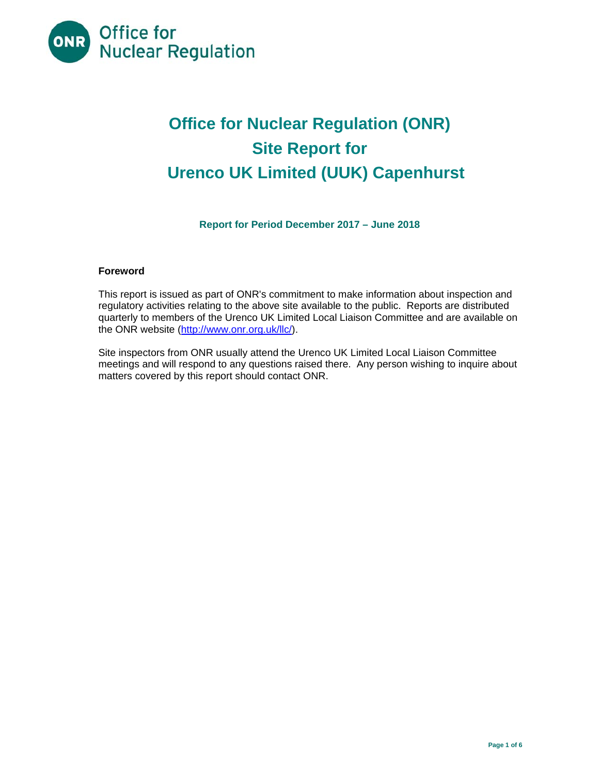

# **Office for Nuclear Regulation (ONR) Site Report for Urenco UK Limited (UUK) Capenhurst**

**Report for Period December 2017 – June 2018** 

# **Foreword**

This report is issued as part of ONR's commitment to make information about inspection and regulatory activities relating to the above site available to the public. Reports are distributed quarterly to members of the Urenco UK Limited Local Liaison Committee and are available on the ONR website (http://www.onr.org.uk/llc/).

Site inspectors from ONR usually attend the Urenco UK Limited Local Liaison Committee meetings and will respond to any questions raised there. Any person wishing to inquire about matters covered by this report should contact ONR.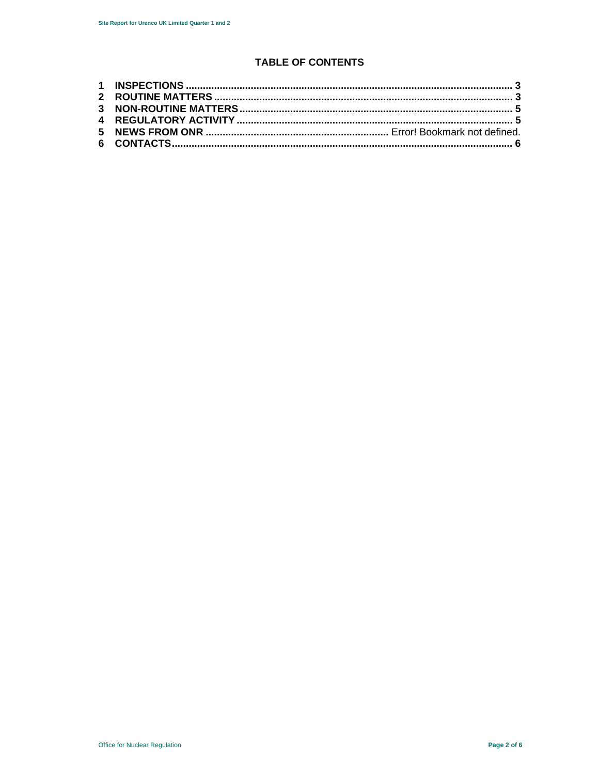# **TABLE OF CONTENTS**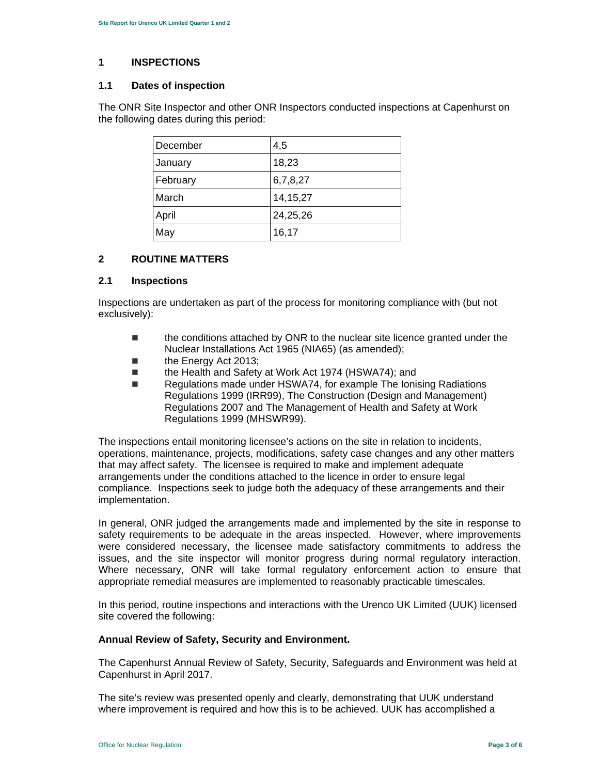# **1 INSPECTIONS**

#### **1.1 Dates of inspection**

The ONR Site Inspector and other ONR Inspectors conducted inspections at Capenhurst on the following dates during this period:

| December | 4,5        |
|----------|------------|
| January  | 18,23      |
| February | 6,7,8,27   |
| March    | 14, 15, 27 |
| April    | 24,25,26   |
| May      | 16,17      |

# **2 ROUTINE MATTERS**

#### **2.1 Inspections**

Inspections are undertaken as part of the process for monitoring compliance with (but not exclusively):

- the conditions attached by ONR to the nuclear site licence granted under the Nuclear Installations Act 1965 (NIA65) (as amended);
- the Energy Act 2013;
- the Health and Safety at Work Act 1974 (HSWA74); and
- Regulations made under HSWA74, for example The Ionising Radiations Regulations 1999 (IRR99), The Construction (Design and Management) Regulations 2007 and The Management of Health and Safety at Work Regulations 1999 (MHSWR99).

The inspections entail monitoring licensee's actions on the site in relation to incidents, operations, maintenance, projects, modifications, safety case changes and any other matters that may affect safety. The licensee is required to make and implement adequate arrangements under the conditions attached to the licence in order to ensure legal compliance. Inspections seek to judge both the adequacy of these arrangements and their implementation.

In general, ONR judged the arrangements made and implemented by the site in response to safety requirements to be adequate in the areas inspected. However, where improvements were considered necessary, the licensee made satisfactory commitments to address the issues, and the site inspector will monitor progress during normal regulatory interaction. Where necessary, ONR will take formal regulatory enforcement action to ensure that appropriate remedial measures are implemented to reasonably practicable timescales.

In this period, routine inspections and interactions with the Urenco UK Limited (UUK) licensed site covered the following:

#### **Annual Review of Safety, Security and Environment.**

The Capenhurst Annual Review of Safety, Security, Safeguards and Environment was held at Capenhurst in April 2017.

The site's review was presented openly and clearly, demonstrating that UUK understand where improvement is required and how this is to be achieved. UUK has accomplished a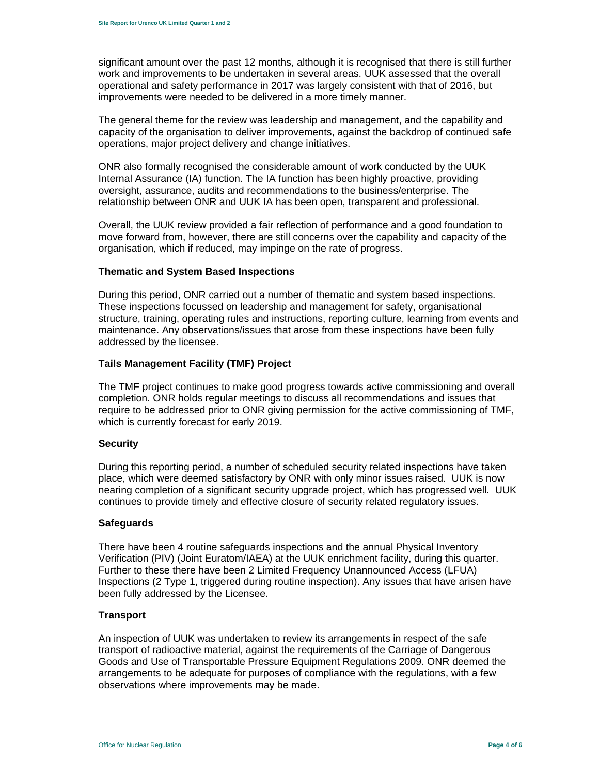significant amount over the past 12 months, although it is recognised that there is still further work and improvements to be undertaken in several areas. UUK assessed that the overall operational and safety performance in 2017 was largely consistent with that of 2016, but improvements were needed to be delivered in a more timely manner.

The general theme for the review was leadership and management, and the capability and capacity of the organisation to deliver improvements, against the backdrop of continued safe operations, major project delivery and change initiatives.

ONR also formally recognised the considerable amount of work conducted by the UUK Internal Assurance (IA) function. The IA function has been highly proactive, providing oversight, assurance, audits and recommendations to the business/enterprise. The relationship between ONR and UUK IA has been open, transparent and professional.

Overall, the UUK review provided a fair reflection of performance and a good foundation to move forward from, however, there are still concerns over the capability and capacity of the organisation, which if reduced, may impinge on the rate of progress.

#### **Thematic and System Based Inspections**

During this period, ONR carried out a number of thematic and system based inspections. These inspections focussed on leadership and management for safety, organisational structure, training, operating rules and instructions, reporting culture, learning from events and maintenance. Any observations/issues that arose from these inspections have been fully addressed by the licensee.

# **Tails Management Facility (TMF) Project**

The TMF project continues to make good progress towards active commissioning and overall completion. ONR holds regular meetings to discuss all recommendations and issues that require to be addressed prior to ONR giving permission for the active commissioning of TMF, which is currently forecast for early 2019.

#### **Security**

During this reporting period, a number of scheduled security related inspections have taken place, which were deemed satisfactory by ONR with only minor issues raised. UUK is now nearing completion of a significant security upgrade project, which has progressed well. UUK continues to provide timely and effective closure of security related regulatory issues.

#### **Safeguards**

There have been 4 routine safeguards inspections and the annual Physical Inventory Verification (PIV) (Joint Euratom/IAEA) at the UUK enrichment facility, during this quarter. Further to these there have been 2 Limited Frequency Unannounced Access (LFUA) Inspections (2 Type 1, triggered during routine inspection). Any issues that have arisen have been fully addressed by the Licensee.

#### **Transport**

An inspection of UUK was undertaken to review its arrangements in respect of the safe transport of radioactive material, against the requirements of the Carriage of Dangerous Goods and Use of Transportable Pressure Equipment Regulations 2009. ONR deemed the arrangements to be adequate for purposes of compliance with the regulations, with a few observations where improvements may be made.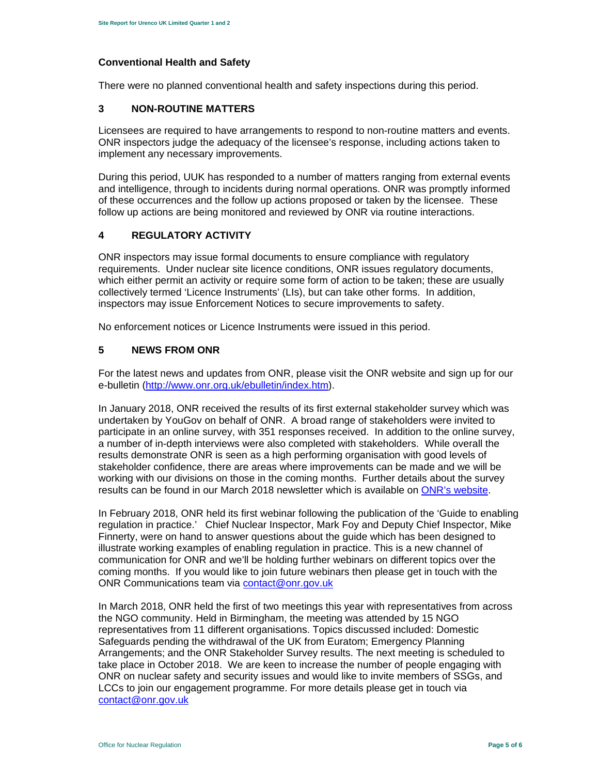# **Conventional Health and Safety**

There were no planned conventional health and safety inspections during this period.

# **3 NON-ROUTINE MATTERS**

Licensees are required to have arrangements to respond to non-routine matters and events. ONR inspectors judge the adequacy of the licensee's response, including actions taken to implement any necessary improvements.

During this period, UUK has responded to a number of matters ranging from external events and intelligence, through to incidents during normal operations. ONR was promptly informed of these occurrences and the follow up actions proposed or taken by the licensee. These follow up actions are being monitored and reviewed by ONR via routine interactions.

# **4 REGULATORY ACTIVITY**

ONR inspectors may issue formal documents to ensure compliance with regulatory requirements. Under nuclear site licence conditions, ONR issues regulatory documents, which either permit an activity or require some form of action to be taken; these are usually collectively termed 'Licence Instruments' (LIs), but can take other forms. In addition, inspectors may issue Enforcement Notices to secure improvements to safety.

No enforcement notices or Licence Instruments were issued in this period.

# **5 NEWS FROM ONR**

For the latest news and updates from ONR, please visit the ONR website and sign up for our e-bulletin (http://www.onr.org.uk/ebulletin/index.htm).

In January 2018, ONR received the results of its first external stakeholder survey which was undertaken by YouGov on behalf of ONR. A broad range of stakeholders were invited to participate in an online survey, with 351 responses received. In addition to the online survey, a number of in-depth interviews were also completed with stakeholders. While overall the results demonstrate ONR is seen as a high performing organisation with good levels of stakeholder confidence, there are areas where improvements can be made and we will be working with our divisions on those in the coming months. Further details about the survey results can be found in our March 2018 newsletter which is available on ONR's website.

In February 2018, ONR held its first webinar following the publication of the 'Guide to enabling regulation in practice.' Chief Nuclear Inspector, Mark Foy and Deputy Chief Inspector, Mike Finnerty, were on hand to answer questions about the guide which has been designed to illustrate working examples of enabling regulation in practice. This is a new channel of communication for ONR and we'll be holding further webinars on different topics over the coming months. If you would like to join future webinars then please get in touch with the ONR Communications team via contact@onr.gov.uk

In March 2018, ONR held the first of two meetings this year with representatives from across the NGO community. Held in Birmingham, the meeting was attended by 15 NGO representatives from 11 different organisations. Topics discussed included: Domestic Safeguards pending the withdrawal of the UK from Euratom; Emergency Planning Arrangements; and the ONR Stakeholder Survey results. The next meeting is scheduled to take place in October 2018. We are keen to increase the number of people engaging with ONR on nuclear safety and security issues and would like to invite members of SSGs, and LCCs to join our engagement programme. For more details please get in touch via contact@onr.gov.uk